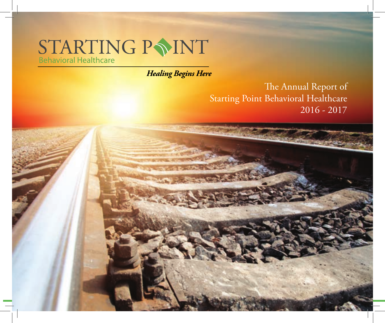# $\begin{array}{ll}\n\text{STARTING} & \text{P} \sum\limits_{\text{Behavioral Healthcare}}\n\end{array}$

**Healing Begins Here** 

The Annual Report of Starting Point Behavioral Healthcare 2016 - 2017

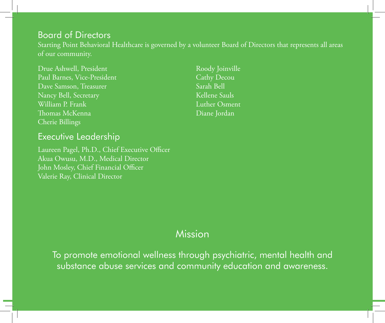## Board of Directors

Starting Point Behavioral Healthcare is governed by a volunteer Board of Directors that represents all areas of our community.

Drue Ashwell, President Paul Barnes, Vice-President Dave Samson, Treasurer Nancy Bell, Secretary William P. Frank Thomas McKenna Cherie Billings

Roody Joinville Cathy Decou Sarah Bell Kellene Sauls Luther Osment Diane Jordan

## Executive Leadership

Laureen Pagel, Ph.D., Chief Executive Officer Akua Owusu, M.D., Medical Director John Mosley, Chief Financial Officer Valerie Ray, Clinical Director

## Mission

To promote emotional wellness through psychiatric, mental health and substance abuse services and community education and awareness.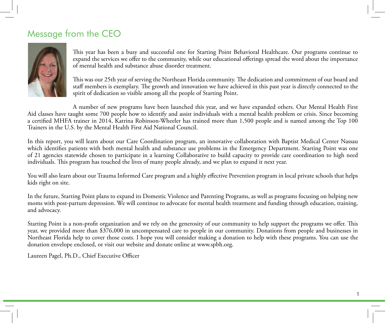## Message from the CEO



This year has been a busy and successful one for Starting Point Behavioral Healthcare. Our programs continue to expand the services we offer to the community, while our educational offerings spread the word about the importance of mental health and substance abuse disorder treatment.

This was our 25th year of serving the Northeast Florida community. The dedication and commitment of our board and staff members is exemplary. The growth and innovation we have achieved in this past year is directly connected to the spirit of dedication so visible among all the people of Starting Point.

A number of new programs have been launched this year, and we have expanded others. Our Mental Health First Aid classes have taught some 700 people how to identify and assist individuals with a mental health problem or crisis. Since becoming a certified MHFA trainer in 2014, Katrina Robinson-Wheeler has trained more than 1,500 people and is named among the Top 100 Trainers in the U.S. by the Mental Health First Aid National Council.

In this report, you will learn about our Care Coordination program, an innovative collaboration with Baptist Medical Center Nassau which identifies patients with both mental health and substance use problems in the Emergency Department. Starting Point was one of 21 agencies statewide chosen to participate in a learning Collaborative to build capacity to provide care coordination to high need individuals. This program has touched the lives of many people already, and we plan to expand it next year.

You will also learn about our Trauma Informed Care program and a highly effective Prevention program in local private schools that helps kids right on site.

In the future, Starting Point plans to expand its Domestic Violence and Parenting Programs, as well as programs focusing on helping new moms with post-partum depression. We will continue to advocate for mental health treatment and funding through education, training, and advocacy.

Starting Point is a non-profit organization and we rely on the generosity of our community to help support the programs we offer. This year, we provided more than \$376,000 in uncompensated care to people in our community. Donations from people and businesses in Northeast Florida help to cover those costs. I hope you will consider making a donation to help with these programs. You can use the donation envelope enclosed, or visit our website and donate online at www.spbh.org.

1

Laureen Pagel, Ph.D., Chief Executive Officer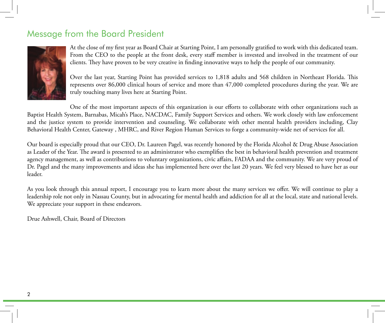## Message from the Board President



At the close of my first year as Board Chair at Starting Point, I am personally gratified to work with this dedicated team. From the CEO to the people at the front desk, every staff member is invested and involved in the treatment of our clients. They have proven to be very creative in finding innovative ways to help the people of our community.

Over the last year, Starting Point has provided services to 1,818 adults and 568 children in Northeast Florida. This represents over 86,000 clinical hours of service and more than 47,000 completed procedures during the year. We are truly touching many lives here at Starting Point.

One of the most important aspects of this organization is our efforts to collaborate with other organizations such as Baptist Health System, Barnabas, Micah's Place, NACDAC, Family Support Services and others. We work closely with law enforcement and the justice system to provide intervention and counseling. We collaborate with other mental health providers including, Clay Behavioral Health Center, Gateway , MHRC, and River Region Human Services to forge a community-wide net of services for all.

Our board is especially proud that our CEO, Dr. Laureen Pagel, was recently honored by the Florida Alcohol & Drug Abuse Association as Leader of the Year. The award is presented to an administrator who exemplifies the best in behavioral health prevention and treatment agency management, as well as contributions to voluntary organizations, civic affairs, FADAA and the community. We are very proud of Dr. Pagel and the many improvements and ideas she has implemented here over the last 20 years. We feel very blessed to have her as our leader.

As you look through this annual report, I encourage you to learn more about the many services we offer. We will continue to play a leadership role not only in Nassau County, but in advocating for mental health and addiction for all at the local, state and national levels. We appreciate your support in these endeavors.

Drue Ashwell, Chair, Board of Directors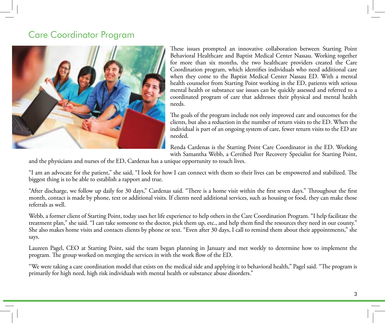## Care Coordinator Program



These issues prompted an innovative collaboration between Starting Point Behavioral Healthcare and Baptist Medical Center Nassau. Working together for more than six months, the two healthcare providers created the Care Coordination program, which identifies individuals who need additional care when they come to the Baptist Medical Center Nassau ED. With a mental health counselor from Starting Point working in the ED, patients with serious mental health or substance use issues can be quickly assessed and referred to a coordinated program of care that addresses their physical and mental health needs.

The goals of the program include not only improved care and outcomes for the clients, but also a reduction in the number of return visits to the ED. When the individual is part of an ongoing system of care, fewer return visits to the ED are needed.

Renda Cardenas is the Starting Point Care Coordinator in the ED. Working with Samantha Webb, a Certified Peer Recovery Specialist for Starting Point,

and the physicians and nurses of the ED, Cardenas has a unique opportunity to touch lives.

"I am an advocate for the patient," she said, "I look for how I can connect with them so their lives can be empowered and stabilized. The biggest thing is to be able to establish a rapport and true.

"After discharge, we follow up daily for 30 days," Cardenas said. "There is a home visit within the first seven days." Throughout the first month, contact is made by phone, text or additional visits. If clients need additional services, such as housing or food, they can make those referrals as well.

Webb, a former client of Starting Point, today uses her life experience to help others in the Care Coordination Program. "I help facilitate the treatment plan," she said. "I can take someone to the doctor, pick them up, etc., and help them find the resources they need in our county." She also makes home visits and contacts clients by phone or text. "Even after 30 days, I call to remind them about their appointments," she says.

Laureen Pagel, CEO at Starting Point, said the team began planning in January and met weekly to determine how to implement the program. The group worked on merging the services in with the work flow of the ED.

"We were taking a care coordination model that exists on the medical side and applying it to behavioral health," Pagel said. "The program is primarily for high need, high risk individuals with mental health or substance abuse disorders."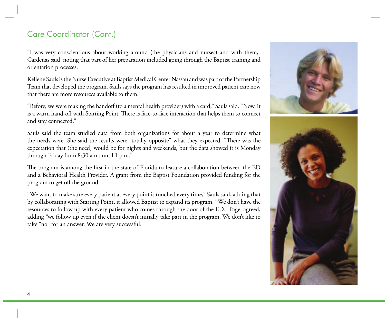## Care Coordinator (Cont.)

"I was very conscientious about working around (the physicians and nurses) and with them," Cardenas said, noting that part of her preparation included going through the Baptist training and orientation processes.

Kellene Sauls is the Nurse Executive at Baptist Medical Center Nassau and was part of the Partnership Team that developed the program. Sauls says the program has resulted in improved patient care now that there are more resources available to them.

"Before, we were making the handoff (to a mental health provider) with a card," Sauls said. "Now, it is a warm hand-off with Starting Point. There is face-to-face interaction that helps them to connect and stay connected."

Sauls said the team studied data from both organizations for about a year to determine what the needs were. She said the results were "totally opposite" what they expected. "There was the expectation that (the need) would be for nights and weekends, but the data showed it is Monday through Friday from 8:30 a.m. until 1 p.m."

The program is among the first in the state of Florida to feature a collaboration between the ED and a Behavioral Health Provider. A grant from the Baptist Foundation provided funding for the program to get off the ground.

"We want to make sure every patient at every point is touched every time," Sauls said, adding that by collaborating with Starting Point, it allowed Baptist to expand its program. "We don't have the resources to follow up with every patient who comes through the door of the ED." Pagel agreed, adding "we follow up even if the client doesn't initially take part in the program. We don't like to take "no" for an answer. We are very successful.

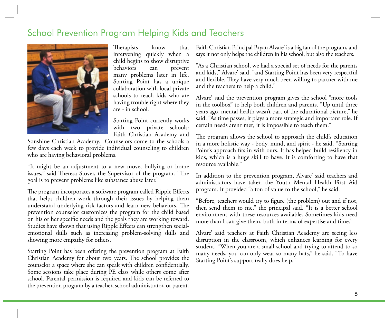## School Prevention Program Helping Kids and Teachers



Therapists know that intervening quickly when a child begins to show disruptive behaviors can prevent many problems later in life. Starting Point has a unique collaboration with local private schools to reach kids who are having trouble right where they are - in school.

Starting Point currently works with two private schools: Faith Christian Academy and

Sonshine Christian Academy. Counselors come to the schools a few days each week to provide individual counseling to children who are having behavioral problems.

"It might be an adjustment to a new move, bullying or home issues," said Theresa Stover, the Supervisor of the program. "The goal is to prevent problems like substance abuse later."

The program incorporates a software program called Ripple Effects that helps children work through their issues by helping them understand underlying risk factors and learn new behaviors. The prevention counselor customizes the program for the child based on his or her specific needs and the goals they are working toward. Studies have shown that using Ripple Effects can strengthen socialemotional skills such as increasing problem-solving skills and showing more empathy for others.

Starting Point has been offering the prevention program at Faith Christian Academy for about two years. The school provides the counselor a space where she can speak with children confidentially. Some sessions take place during PE class while others come after school. Parental permission is required and kids can be referred to the prevention program by a teacher, school administrator, or parent. Faith Christian Principal Bryan Alvare' is a big fan of the program, and says it not only helps the children in his school, but also the teachers.

"As a Christian school, we had a special set of needs for the parents and kids," Alvare' said, "and Starting Point has been very respectful and flexible. They have very much been willing to partner with me and the teachers to help a child."

Alvare' said the prevention program gives the school "more tools in the toolbox" to help both children and parents. "Up until three years ago, mental health wasn't part of the educational picture," he said. "As time passes, it plays a more strategic and important role. If certain needs aren't met, it is impossible to teach them."

The program allows the school to approach the child's education in a more holistic way - body, mind, and spirit - he said. "Starting Point's approach fits in with ours. It has helped build resiliency in kids, which is a huge skill to have. It is comforting to have that resource available."

In addition to the prevention program, Alvare' said teachers and administrators have taken the Youth Mental Health First Aid program. It provided "a ton of value to the school," he said.

"Before, teachers would try to figure (the problem) out and if not, then send them to me," the principal said. "It is a better school environment with these resources available. Sometimes kids need more than I can give them, both in terms of expertise and time."

Alvare' said teachers at Faith Christian Academy are seeing less disruption in the classroom, which enhances learning for every student. "When you are a small school and trying to attend to so many needs, you can only wear so many hats," he said. "To have Starting Point's support really does help."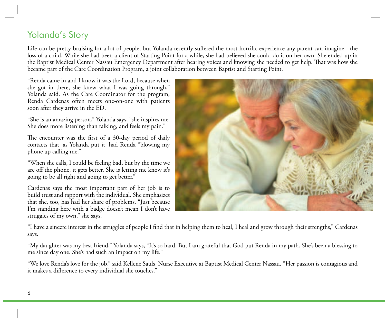## Yolanda's Story

Life can be pretty bruising for a lot of people, but Yolanda recently suffered the most horrific experience any parent can imagine - the loss of a child. While she had been a client of Starting Point for a while, she had believed she could do it on her own. She ended up in the Baptist Medical Center Nassau Emergency Department after hearing voices and knowing she needed to get help. That was how she became part of the Care Coordination Program, a joint collaboration between Baptist and Starting Point.

"Renda came in and I know it was the Lord, because when she got in there, she knew what I was going through," Yolanda said. As the Care Coordinator for the program, Renda Cardenas often meets one-on-one with patients soon after they arrive in the ED.

"She is an amazing person," Yolanda says, "she inspires me. She does more listening than talking, and feels my pain."

The encounter was the first of a 30-day period of daily contacts that, as Yolanda put it, had Renda "blowing my phone up calling me."

"When she calls, I could be feeling bad, but by the time we are off the phone, it gets better. She is letting me know it's going to be all right and going to get better."

Cardenas says the most important part of her job is to build trust and rapport with the individual. She emphasizes that she, too, has had her share of problems. "Just because I'm standing here with a badge doesn't mean I don't have struggles of my own," she says.



"I have a sincere interest in the struggles of people I find that in helping them to heal, I heal and grow through their strengths," Cardenas says.

"My daughter was my best friend," Yolanda says, "It's so hard. But I am grateful that God put Renda in my path. She's been a blessing to me since day one. She's had such an impact on my life."

"We love Renda's love for the job," said Kellene Sauls, Nurse Executive at Baptist Medical Center Nassau. "Her passion is contagious and it makes a difference to every individual she touches."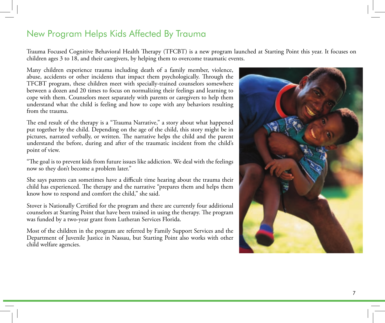## New Program Helps Kids Affected By Trauma

Trauma Focused Cognitive Behavioral Health Therapy (TFCBT) is a new program launched at Starting Point this year. It focuses on children ages 3 to 18, and their caregivers, by helping them to overcome traumatic events.

Many children experience trauma including death of a family member, violence, abuse, accidents or other incidents that impact them psychologically. Through the TFCBT program, these children meet with specially-trained counselors somewhere between a dozen and 20 times to focus on normalizing their feelings and learning to cope with them. Counselors meet separately with parents or caregivers to help them understand what the child is feeling and how to cope with any behaviors resulting from the trauma.

The end result of the therapy is a "Trauma Narrative," a story about what happened put together by the child. Depending on the age of the child, this story might be in pictures, narrated verbally, or written. The narrative helps the child and the parent understand the before, during and after of the traumatic incident from the child's point of view.

"The goal is to prevent kids from future issues like addiction. We deal with the feelings now so they don't become a problem later."

She says parents can sometimes have a difficult time hearing about the trauma their child has experienced. The therapy and the narrative "prepares them and helps them know how to respond and comfort the child," she said.

Stover is Nationally Certified for the program and there are currently four additional counselors at Starting Point that have been trained in using the therapy. The program was funded by a two-year grant from Lutheran Services Florida.

Most of the children in the program are referred by Family Support Services and the Department of Juvenile Justice in Nassau, but Starting Point also works with other child welfare agencies.

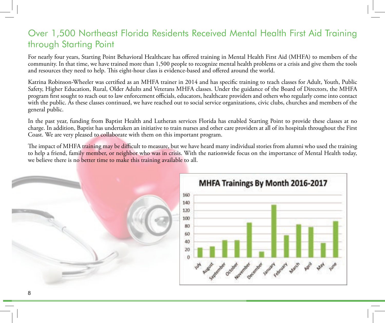## Over 1,500 Northeast Florida Residents Received Mental Health First Aid Training through Starting Point

For nearly four years, Starting Point Behavioral Healthcare has offered training in Mental Health First Aid (MHFA) to members of the community. In that time, we have trained more than 1,500 people to recognize mental health problems or a crisis and give them the tools and resources they need to help. This eight-hour class is evidence-based and offered around the world.

Katrina Robinson-Wheeler was certified as an MHFA trainer in 2014 and has specific training to teach classes for Adult, Youth, Public Safety, Higher Education, Rural, Older Adults and Veterans MHFA classes. Under the guidance of the Board of Directors, the MHFA program first sought to reach out to law enforcement officials, educators, healthcare providers and others who regularly come into contact with the public. As these classes continued, we have reached out to social service organizations, civic clubs, churches and members of the general public.

In the past year, funding from Baptist Health and Lutheran services Florida has enabled Starting Point to provide these classes at no charge. In addition, Baptist has undertaken an initiative to train nurses and other care providers at all of its hospitals throughout the First Coast. We are very pleased to collaborate with them on this important program.

The impact of MHFA training may be difficult to measure, but we have heard many individual stories from alumni who used the training to help a friend, family member, or neighbor who was in crisis. With the nationwide focus on the importance of Mental Health today, we believe there is no better time to make this training available to all.

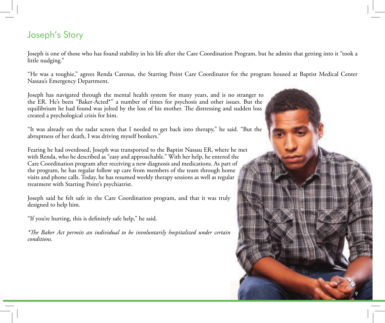## Joseph's Story

Joseph is one of those who has found stability in his life after the Care Coordination Program, but he admits that getting into it "took a little nudging."

"He was a toughie," agrees Renda Carenas, the Starting Point Care Coordinator for the program housed at Baptist Medical Center Nassau's Emergency Department.

Joseph has navigated through the mental health system for many years, and is no stranger to the ER. He's been "Baker-Acted\*" a number of times for psychosis and other issues. But the equilibrium he had found was jolted by the loss of his mother. The distressing and sudden loss created a psychological crisis for him.

"It was already on the radar screen that I needed to get back into therapy," he said. "But the abruptness of her death, I was driving myself bonkers."

Fearing he had overdosed, Joseph was transported to the Baptist Nassau ER, where he met with Renda, who he described as "easy and approachable." With her help, he entered the Care Coordination program after receiving a new diagnosis and medications. As part of the program, he has regular follow up care from members of the team through home visits and phone calls. Today, he has resumed weekly therapy sessions as well as regular treatment with Starting Point's psychiatrist.

Joseph said he felt safe in the Care Coordination program, and that it was truly designed to help him.

"If you're hurting, this is definitely safe help," he said.

*\*The Baker Act permits an individual to be involuntarily hospitalized under certain conditions.*

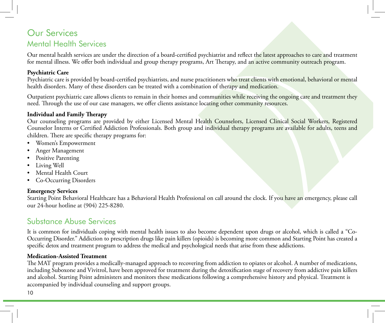## Our Services Mental Health Services

Our mental health services are under the direction of a board-certified psychiatrist and reflect the latest approaches to care and treatment for mental illness. We offer both individual and group therapy programs, Art Therapy, and an active community outreach program.

#### **Psychiatric Care**

Psychiatric care is provided by board-certified psychiatrists, and nurse practitioners who treat clients with emotional, behavioral or mental health disorders. Many of these disorders can be treated with a combination of therapy and medication.

Outpatient psychiatric care allows clients to remain in their homes and communities while receiving the ongoing care and treatment they need. Through the use of our case managers, we offer clients assistance locating other community resources.

#### **Individual and Family Therapy**

Our counseling programs are provided by either Licensed Mental Health Counselors, Licensed Clinical Social Workers, Registered Counselor Interns or Certified Addiction Professionals. Both group and individual therapy programs are available for adults, teens and children. There are specific therapy programs for:

- • Women's Empowerment
- Anger Management
- Positive Parenting
- Living Well
- Mental Health Court
- Co-Occurring Disorders

#### **Emergency Services**

Starting Point Behavioral Healthcare has a Behavioral Health Professional on call around the clock. If you have an emergency, please call our 24-hour hotline at (904) 225-8280.

## Substance Abuse Services

It is common for individuals coping with mental health issues to also become dependent upon drugs or alcohol, which is called a "Co-Occurring Disorder." Addiction to prescription drugs like pain killers (opioids) is becoming more common and Starting Point has created a specific detox and treatment program to address the medical and psychological needs that arise from these addictions.

#### **Medication-Assisted Treatment**

The MAT program provides a medically-managed approach to recovering from addiction to opiates or alcohol. A number of medications, including Suboxone and Vivitrol, have been approved for treatment during the detoxification stage of recovery from addictive pain killers and alcohol. Starting Point administers and monitors these medications following a comprehensive history and physical. Treatment is accompanied by individual counseling and support groups.

10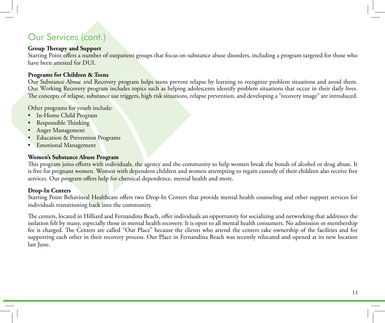## Our Services (cont.)

#### **Group Therapy and Support**

Starting Point offers a number of outpatient groups that focus on substance abuse disorders, including a program targeted for those who have been arrested for DUI.

#### **Programs for Children & Teens**

Our Substance Abuse and Recovery program helps teens prevent relapse by learning to recognize problem situations and avoid them. Our Working Recovery program includes topics such as helping adolescents identify problem situations that occur in their daily lives. The concepts of relapse, substance use triggers, high risk situations, relapse prevention, and developing a "recovery image" are introduced.

Other programs for youth include:

- In-Home Child Program
- Responsible Thinking
- Anger Management
- **Education & Prevention Programs**
- • Emotional Management

#### **Women's Substance Abuse Program**

This program joins efforts with individuals, the agency and the community to help women break the bonds of alcohol or drug abuse. It is free for pregnant women. Women with dependent children and women attempting to regain custody of their children also receive free services. Our program offers help for chemical dependence, mental health and more.

#### **Drop-In Centers**

Starting Point Behavioral Healthcare offers two Drop-In Centers that provide mental health counseling and other support services for individuals transitioning back into the community.

The centers, located in Hilliard and Fernandina Beach, offer individuals an opportunity for socializing and networking that addresses the isolation felt by many, especially those in mental health recovery. It is open to all mental health consumers. No admission or membership fee is charged. The Centers are called "Our Place" because the clients who attend the centers take ownership of the facilities and for supporting each other in their recovery process. Our Place in Fernandina Beach was recently relocated and opened at its new location last June.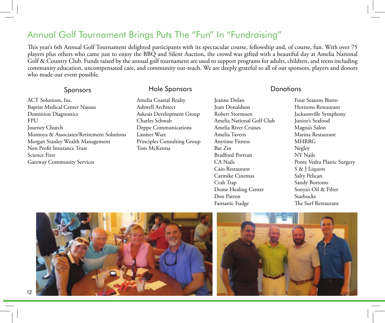## Annual Golf Tournament Brings Puts The "Fun" In "Fundraising"

This year's 6th Annual Golf Tournament delighted participants with its spectacular course, fellowship and, of course, fun. With over 75 players plus others who came just to enjoy the BBQ and Silent Auction, the crowd was gifted with a beautiful day at Amelia National Golf & Country Club. Funds raised by the annual golf tournament are used to support programs for adults, children, and teens including community education, uncompensated care, and community out-reach. We are deeply grateful to all of our sponsors, players and donors who made our event possible.

### Sponsors Hole Sponsors Donations

ACT Solutions, Inc. Baptist Medical Center Nassau Dominion Diagnostics FPU Journey Church Montoya & Associates/Retirement Solutions Morgan Stanley Wealth Management Non Profit Insurance Trust Science First Gateway Community Services

Amelia Coastal Realty Ashwell Architect Askesis Development Group Charles Schwab Deppe Communications Lassiter Ware Principles Consulting Group Tom McKenna

Jeanne Dolan Joan Donaldson Robert Stormoen Amelia National Golf Club Amelia River Cruises Amelia Tavern Anytime Fitness Bar Zin Bradford Portrait CA Nails Caio Restaurant Carmike Cinemas Crab Trap Dome Healing Center Don Patron Fantastic Fudge

Four Seasons Bistro Horizons Restaurant Jacksonville Symphony Junior's Seafood Magna's Salon Marina Restaurant MHRRG Negley NY Nails Ponte Vedra Plastic Surgery S & J Liquors Salty Pelican Sandy Bottoms Sonya's Oil & Filter Starbucks The Surf Restaurant



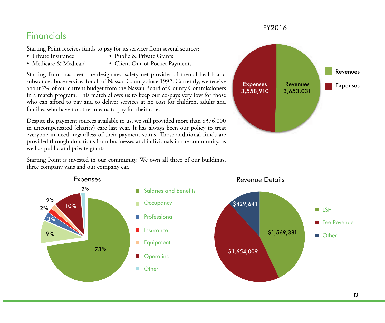## **Financials**

Starting Point receives funds to pay for its services from several sources:

- 
- Private Insurance Public & Private Grants
- 
- Medicare & Medicaid Client Out-of-Pocket Payments

Starting Point has been the designated safety net provider of mental health and substance abuse services for all of Nassau County since 1992. Currently, we receive about 7% of our current budget from the Nassau Board of County Commissioners in a match program. This match allows us to keep our co-pays very low for those who can afford to pay and to deliver services at no cost for children, adults and families who have no other means to pay for their care.

Despite the payment sources available to us, we still provided more than \$376,000 in uncompensated (charity) care last year. It has always been our policy to treat everyone in need, regardless of their payment status. Those additional funds are provided through donations from businesses and individuals in the community, as well as public and private grants.

Starting Point is invested in our community. We own all three of our buildings, three company vans and our company car. Starting Point is invested in our commun<br>three company vans and our company car.



FY2016

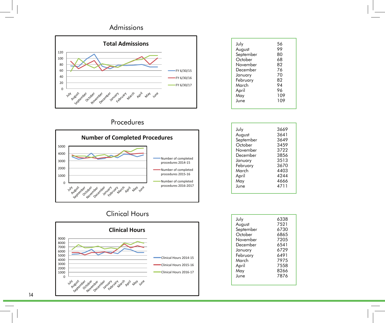#### Admissions



| July      | 56  |
|-----------|-----|
| August    | 99  |
| September | 80  |
| October   | 68  |
| November  | 82  |
| December  | 76  |
| January   | 70  |
| February  | 82  |
| March     | 94  |
| April     | 96  |
| May       | 109 |
| June      | 109 |
|           |     |

Procedures



| July      | 3669 |
|-----------|------|
| August    | 3641 |
| September | 3649 |
| October   | 3459 |
| November  | 3722 |
| December  | 3856 |
| January   | 3513 |
| February  | 3670 |
| March     | 4403 |
| April     | 4244 |
| May       | 4666 |
| June      | 4711 |
|           |      |

## Clinical Hours



| July      | 6338 |
|-----------|------|
| August    | 7521 |
| September | 6730 |
| October   | 6865 |
| November  | 7205 |
| December  | 6541 |
| January   | 6729 |
| February  | 6491 |
| March     | 7975 |
| April     | 7558 |
| May       | 8266 |
| June      | 7876 |
|           |      |

14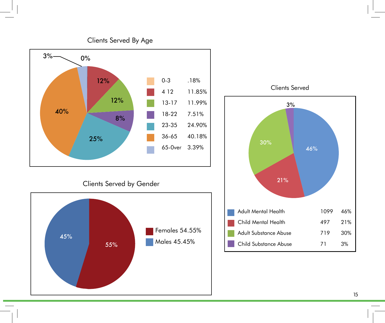

Clients Served by Gender





Clients Served By Age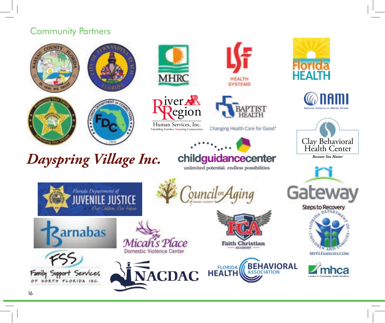## Community Partners









# nc. *Dayspring Village Inc.*

Florida Department of

Our Children, Our Future





Human Services, Inc.<br>Rebuilding Families, Restoring Communities





Changing Health Care for Good."



ouncil<sup>on</sup>

## iver **childguidancecenter** unlimited potential. endless possibilities.

Human Services, Inc. Rebuilding Families, Restoring Communities























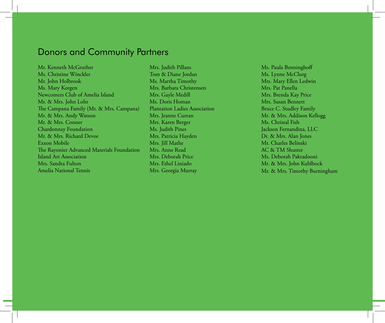## Donors and Community Partners

Mr. Kenneth McGruther Ms. Christine Winckler Mr. John Holbrook Ms. Mary Keegen Newcomers Club of Amelia Island Mr. & Mrs. John Lohr The Campana Family (Mr. & Mrs. Campana) Mr. & Mrs. Andy Watson Mr. & Mrs. Conner Chardonnay Foundation Mr. & Mrs. Richard Devoe Exxon Mobile The Rayonier Advanced Materials Foundation Island Art Association Mrs. Sandra Fulton Amelia National Tennis

Mrs. Judith Pillans Tom & Diane Jordan Ms. Martha Timothy Mrs. Barbara Christensen Mrs. Gayle Medill Ms. Doris Homan Plantation Ladies Association Mrs. Jeanne Curran Mrs. Karen Berger Ms. Judith Pines Mrs. Patricia Hayden Mrs. Jill Mathe Mrs. Anne Read Mrs. Deborah Price Mrs. Ethel Liniado Mrs. Georgia Murray

Ms. Paula Benninghoff Ms. Lynne McClurg Mrs. Mary Ellen Ledwin Mrs. Pat Panella Mrs. Brenda Kay Price Mrs. Susan Bennett Bruce C. Studley Family Mr. & Mrs. Addison Kellogg Ms. Christal Fish Jackson Fernandina, LLC Dr. & Mrs. Alan Jones Mr. Charles Belinski AC & TM Shuster Ms. Deborah Pakradooni Mr. & Mrs. John Kublbock Mr. & Mrs. Timothy Burningham